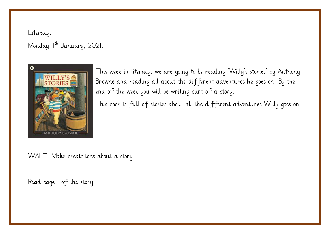Literacy. Monday II<sup>th</sup> January, 2021.



This week in literacy, we are going to be reading 'Willy's stories' by Anthony Browne and reading all about the different adventures he goes on. By the end of the week you will be writing part of a story.

This book is full of stories about all the different adventures Willy goes on.

WALT: Make predictions about a story.

Read page 1 of the story.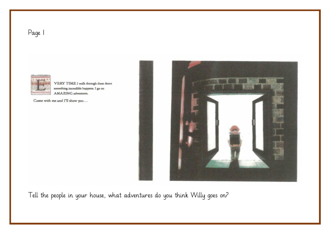



VERY TIME I walk through these doors something incredible happens. I go on AMAZING adventures.

Come with me and I'll show you...



Tell the people in your house, what adventures do you think Willy goes on?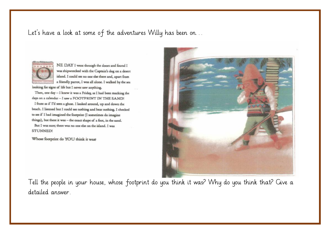## Let's have a look at some of the adventures Willy has been on…



NE DAY I went through the doors and found I was shipwrecked with the Captain's dog on a desert island. I could see no one else there and, apart from a friendly parrot, I was all alone. I walked by the sea looking for signs of life but I never saw anything.

Then, one day - I knew it was a Friday, as I had been marking the days on a calendar - I saw a FOOTPRINT IN THE SAND!

I froze as if I'd seen a ghost. I looked around, up and down the beach. I listened but I could see nothing and hear nothing. I checked to see if I had imagined the footprint (I sometimes do imagine things), but there it was - the exact shape of a foot, in the sand. But I was sure; there was no one else on the island. I was **STUNNED!** 

Whose footprint do YOU think it was?



Tell the people in your house, whose footprint do you think it was? Why do you think that? Give a detailed answer.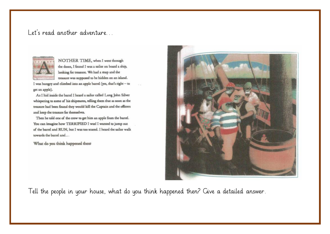## Let's read another adventure…



NOTHER TIME, when I went through the doors. I found I was a sailor on board a ship, looking for treasure. We had a map and the treasure was supposed to be hidden on an island.

I was hungry and climbed into an apple barrel (yes, that's right - to get an apple).

As I hid inside the barrel I heard a sailor called Long John Silver whispering to some of his shipmates, telling them that as soon as the treasure had been found they would kill the Captain and the officers and keep the treasure for themselves.

Then he told one of the crew to get him an apple from the barrel. You can imagine how TERRIFIED I was! I wanted to jump out of the barrel and RUN, but I was too scared. I heard the sailor walk towards the barrel and...

What do you think happened then?



Tell the people in your house, what do you think happened then? Give a detailed answer.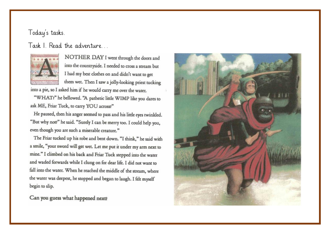## Today's tasks.

Task I Read the adventure



NOTHER DAY I went through the doors and into the countryside. I needed to cross a stream but I had my best clothes on and didn't want to get them wet. Then I saw a jolly-looking priest tucking

into a pie, so I asked him if he would carry me over the water.

"WHAT?" he bellowed. "A pathetic little WIMP like you dares to ask ME, Friar Tuck, to carry YOU across?"

He paused, then his anger seemed to pass and his little eyes twinkled. "But why not?" he said. "Surely I can be merry too. I could help you, even though you are such a miserable creature."

The Friar tucked up his robe and bent down. "I think," he said with a smile, "your sword will get wet. Let me put it under my arm next to mine." I climbed on his back and Friar Tuck stepped into the water and waded forwards while I clung on for dear life. I did not want to fall into the water. When he reached the middle of the stream, where the water was deepest, he stopped and began to laugh. I felt myself begin to slip.

Can you guess what happened next?